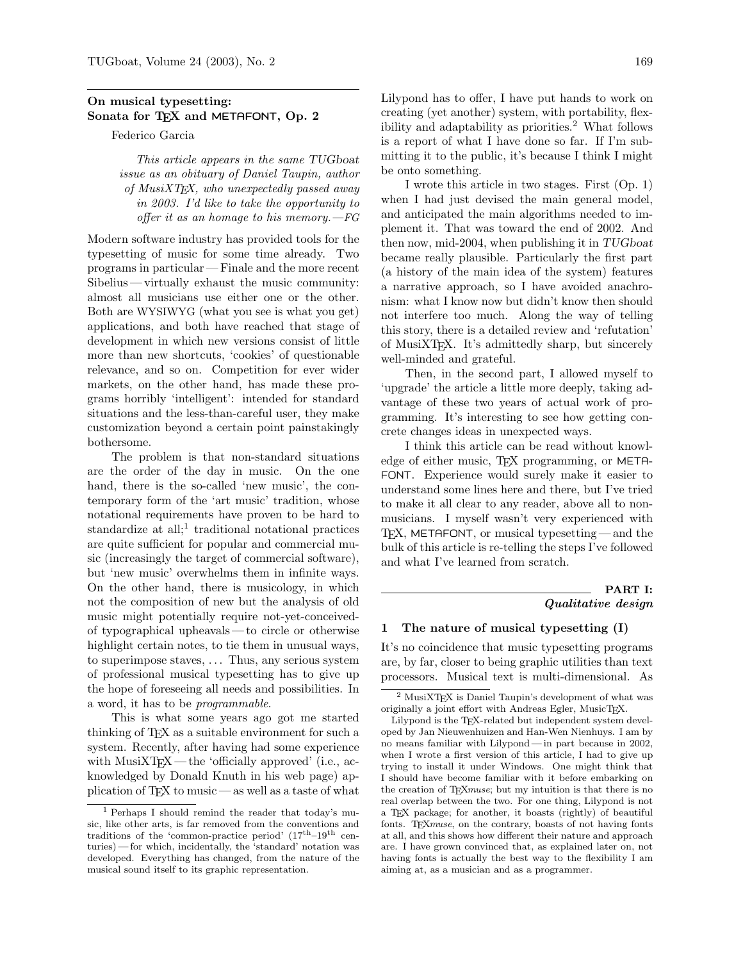# On musical typesetting: Sonata for TEX and METAFONT, Op. 2

Federico Garcia

This article appears in the same TUGboat issue as an obituary of Daniel Taupin, author of  $MusiXTFX$ , who unexpectedly passed away in 2003. I'd like to take the opportunity to offer it as an homage to his memory. $-FG$ 

Modern software industry has provided tools for the typesetting of music for some time already. Two programs in particular — Finale and the more recent Sibelius — virtually exhaust the music community: almost all musicians use either one or the other. Both are WYSIWYG (what you see is what you get) applications, and both have reached that stage of development in which new versions consist of little more than new shortcuts, 'cookies' of questionable relevance, and so on. Competition for ever wider markets, on the other hand, has made these programs horribly 'intelligent': intended for standard situations and the less-than-careful user, they make customization beyond a certain point painstakingly bothersome.

The problem is that non-standard situations are the order of the day in music. On the one hand, there is the so-called 'new music', the contemporary form of the 'art music' tradition, whose notational requirements have proven to be hard to standardize at all;<sup>1</sup> traditional notational practices are quite sufficient for popular and commercial music (increasingly the target of commercial software), but 'new music' overwhelms them in infinite ways. On the other hand, there is musicology, in which not the composition of new but the analysis of old music might potentially require not-yet-conceivedof typographical upheavals — to circle or otherwise highlight certain notes, to tie them in unusual ways, to superimpose staves, . . . Thus, any serious system of professional musical typesetting has to give up the hope of foreseeing all needs and possibilities. In a word, it has to be programmable.

This is what some years ago got me started thinking of TEX as a suitable environment for such a system. Recently, after having had some experience with  $MusixTEX$  — the 'officially approved' (i.e., acknowledged by Donald Knuth in his web page) application of  $TrX$  to music — as well as a taste of what

Lilypond has to offer, I have put hands to work on creating (yet another) system, with portability, flexibility and adaptability as priorities.<sup>2</sup> What follows is a report of what I have done so far. If I'm submitting it to the public, it's because I think I might be onto something.

I wrote this article in two stages. First (Op. 1) when I had just devised the main general model, and anticipated the main algorithms needed to implement it. That was toward the end of 2002. And then now, mid-2004, when publishing it in  $TUGboat$ became really plausible. Particularly the first part (a history of the main idea of the system) features a narrative approach, so I have avoided anachronism: what I know now but didn't know then should not interfere too much. Along the way of telling this story, there is a detailed review and 'refutation' of MusiXTEX. It's admittedly sharp, but sincerely well-minded and grateful.

Then, in the second part, I allowed myself to 'upgrade' the article a little more deeply, taking advantage of these two years of actual work of programming. It's interesting to see how getting concrete changes ideas in unexpected ways.

I think this article can be read without knowledge of either music, T<sub>F</sub>X programming, or META-FONT. Experience would surely make it easier to understand some lines here and there, but I've tried to make it all clear to any reader, above all to nonmusicians. I myself wasn't very experienced with  $TFX$ , METAFONT, or musical typesetting — and the bulk of this article is re-telling the steps I've followed and what I've learned from scratch.

# PART I: Qualitative design

# 1 The nature of musical typesetting (I)

It's no coincidence that music typesetting programs are, by far, closer to being graphic utilities than text processors. Musical text is multi-dimensional. As

<sup>1</sup> Perhaps I should remind the reader that today's music, like other arts, is far removed from the conventions and traditions of the 'common-practice period' (17th–19th centuries)— for which, incidentally, the 'standard' notation was developed. Everything has changed, from the nature of the musical sound itself to its graphic representation.

 $^2$ MusiXTEX is Daniel Taupin's development of what was originally a joint effort with Andreas Egler, MusicTFX.

Lilypond is the TEX-related but independent system developed by Jan Nieuwenhuizen and Han-Wen Nienhuys. I am by no means familiar with Lilypond— in part because in 2002, when I wrote a first version of this article, I had to give up trying to install it under Windows. One might think that I should have become familiar with it before embarking on the creation of TEXmuse; but my intuition is that there is no real overlap between the two. For one thing, Lilypond is not a TEX package; for another, it boasts (rightly) of beautiful fonts. T<sub>E</sub>Xmuse, on the contrary, boasts of not having fonts at all, and this shows how different their nature and approach are. I have grown convinced that, as explained later on, not having fonts is actually the best way to the flexibility I am aiming at, as a musician and as a programmer.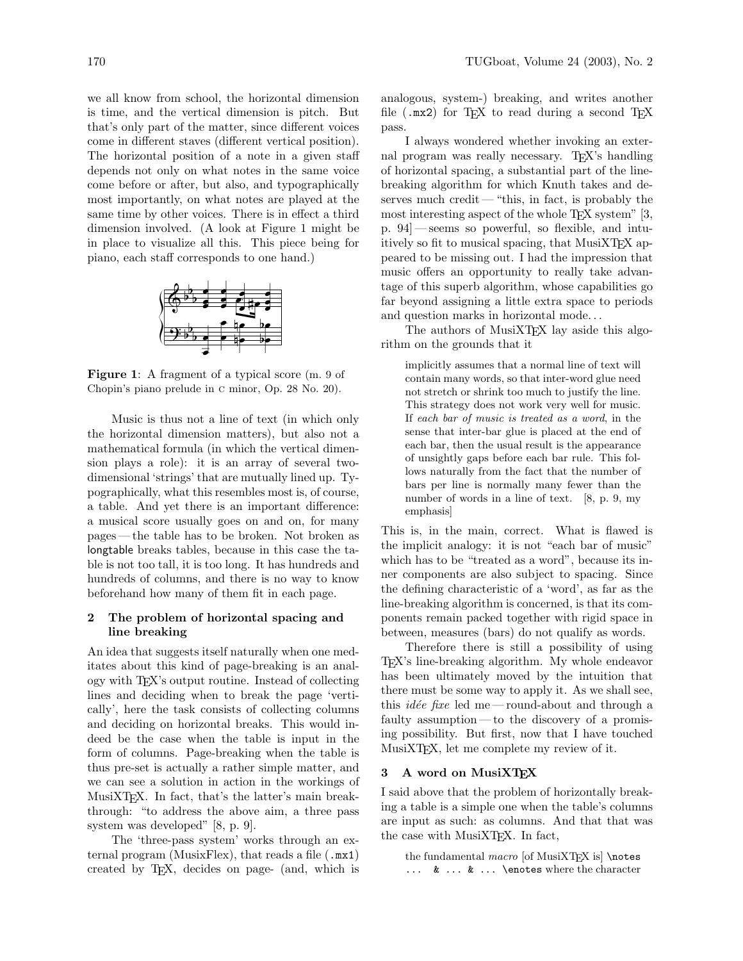we all know from school, the horizontal dimension is time, and the vertical dimension is pitch. But that's only part of the matter, since different voices come in different staves (different vertical position). The horizontal position of a note in a given staff depends not only on what notes in the same voice come before or after, but also, and typographically most importantly, on what notes are played at the same time by other voices. There is in effect a third dimension involved. (A look at Figure 1 might be in place to visualize all this. This piece being for piano, each staff corresponds to one hand.)



Figure 1: A fragment of a typical score (m. 9 of Chopin's piano prelude in c minor, Op. 28 No. 20).

Music is thus not a line of text (in which only the horizontal dimension matters), but also not a mathematical formula (in which the vertical dimension plays a role): it is an array of several twodimensional 'strings' that are mutually lined up. Typographically, what this resembles most is, of course, a table. And yet there is an important difference: a musical score usually goes on and on, for many pages — the table has to be broken. Not broken as longtable breaks tables, because in this case the table is not too tall, it is too long. It has hundreds and hundreds of columns, and there is no way to know beforehand how many of them fit in each page.

# 2 The problem of horizontal spacing and line breaking

An idea that suggests itself naturally when one meditates about this kind of page-breaking is an analogy with TEX's output routine. Instead of collecting lines and deciding when to break the page 'vertically', here the task consists of collecting columns and deciding on horizontal breaks. This would indeed be the case when the table is input in the form of columns. Page-breaking when the table is thus pre-set is actually a rather simple matter, and we can see a solution in action in the workings of MusiXTEX. In fact, that's the latter's main breakthrough: "to address the above aim, a three pass system was developed" [8, p. 9].

The 'three-pass system' works through an external program (MusixFlex), that reads a file  $(\cdot \text{mx1})$ created by TEX, decides on page- (and, which is analogous, system-) breaking, and writes another file  $(\texttt{.mx2})$  for T<sub>E</sub>X to read during a second T<sub>E</sub>X pass.

I always wondered whether invoking an external program was really necessary. T<sub>F</sub>X's handling of horizontal spacing, a substantial part of the linebreaking algorithm for which Knuth takes and deserves much credit— "this, in fact, is probably the most interesting aspect of the whole T<sub>EX</sub> system" [3, p. 94] — seems so powerful, so flexible, and intuitively so fit to musical spacing, that MusiXT<sub>F</sub>X appeared to be missing out. I had the impression that music offers an opportunity to really take advantage of this superb algorithm, whose capabilities go far beyond assigning a little extra space to periods and question marks in horizontal mode. . .

The authors of MusiXT<sub>F</sub>X lay aside this algorithm on the grounds that it

implicitly assumes that a normal line of text will contain many words, so that inter-word glue need not stretch or shrink too much to justify the line. This strategy does not work very well for music. If each bar of music is treated as a word, in the sense that inter-bar glue is placed at the end of each bar, then the usual result is the appearance of unsightly gaps before each bar rule. This follows naturally from the fact that the number of bars per line is normally many fewer than the number of words in a line of text. [8, p. 9, my emphasis]

This is, in the main, correct. What is flawed is the implicit analogy: it is not "each bar of music" which has to be "treated as a word", because its inner components are also subject to spacing. Since the defining characteristic of a 'word', as far as the line-breaking algorithm is concerned, is that its components remain packed together with rigid space in between, measures (bars) do not qualify as words.

Therefore there is still a possibility of using TEX's line-breaking algorithm. My whole endeavor has been ultimately moved by the intuition that there must be some way to apply it. As we shall see, this *idée fixe* led me — round-about and through a faulty assumption— to the discovery of a promising possibility. But first, now that I have touched MusiXTEX, let me complete my review of it.

# 3 A word on MusiXTFX

I said above that the problem of horizontally breaking a table is a simple one when the table's columns are input as such: as columns. And that that was the case with MusiXTEX. In fact,

the fundamental  $macro$  [of MusiXTEX is] \notes ... & ... & ... \enotes where the character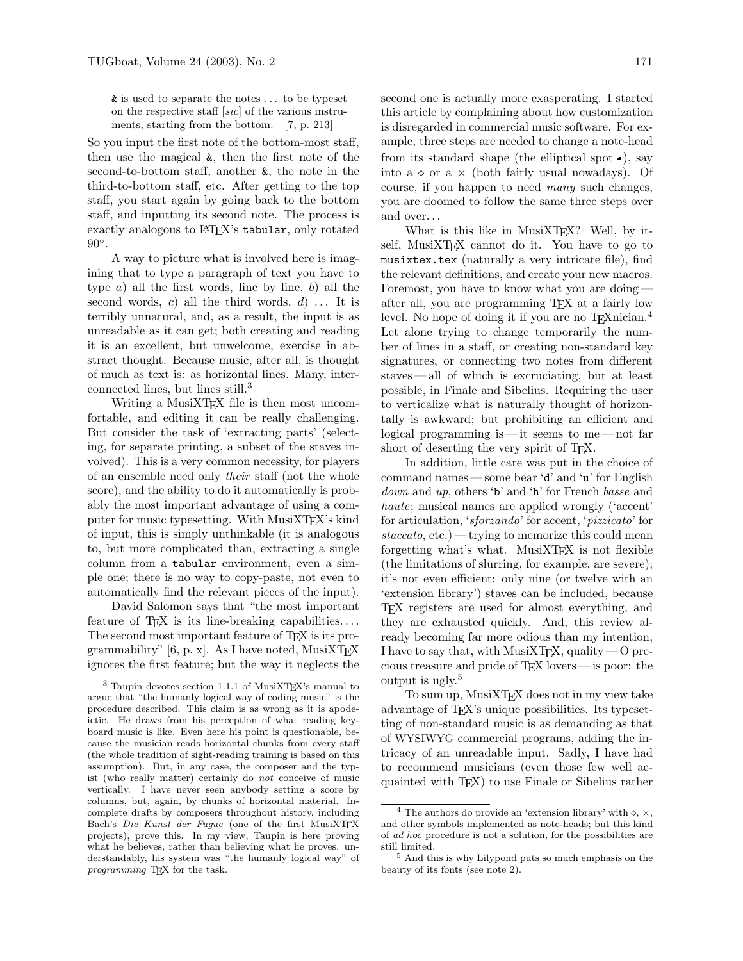& is used to separate the notes . . . to be typeset on the respective staff [sic] of the various instruments, starting from the bottom. [7, p. 213]

So you input the first note of the bottom-most staff, then use the magical &, then the first note of the second-to-bottom staff, another &, the note in the third-to-bottom staff, etc. After getting to the top staff, you start again by going back to the bottom staff, and inputting its second note. The process is exactly analogous to LAT<sub>F</sub>X's tabular, only rotated  $90^\circ$ .

A way to picture what is involved here is imagining that to type a paragraph of text you have to type  $a$ ) all the first words, line by line,  $b$ ) all the second words, c) all the third words,  $d$ ... It is terribly unnatural, and, as a result, the input is as unreadable as it can get; both creating and reading it is an excellent, but unwelcome, exercise in abstract thought. Because music, after all, is thought of much as text is: as horizontal lines. Many, interconnected lines, but lines still.<sup>3</sup>

Writing a MusiXT<sub>F</sub>X file is then most uncomfortable, and editing it can be really challenging. But consider the task of 'extracting parts' (selecting, for separate printing, a subset of the staves involved). This is a very common necessity, for players of an ensemble need only their staff (not the whole score), and the ability to do it automatically is probably the most important advantage of using a computer for music typesetting. With MusiXTEX's kind of input, this is simply unthinkable (it is analogous to, but more complicated than, extracting a single column from a tabular environment, even a simple one; there is no way to copy-paste, not even to automatically find the relevant pieces of the input).

David Salomon says that "the most important feature of T<sub>E</sub>X is its line-breaking capabilities.... The second most important feature of TEX is its programmability"  $[6, p, x]$ . As I have noted, MusiXTFX ignores the first feature; but the way it neglects the second one is actually more exasperating. I started this article by complaining about how customization is disregarded in commercial music software. For example, three steps are needed to change a note-head from its standard shape (the elliptical spot  $\bullet$ ), say into a  $\circ$  or a  $\times$  (both fairly usual nowadays). Of course, if you happen to need many such changes, you are doomed to follow the same three steps over and over. . .

What is this like in MusiXTEX? Well, by itself, MusiXTEX cannot do it. You have to go to musixtex.tex (naturally a very intricate file), find the relevant definitions, and create your new macros. Foremost, you have to know what you are doing after all, you are programming TEX at a fairly low level. No hope of doing it if you are no TEXnician.<sup>4</sup> Let alone trying to change temporarily the number of lines in a staff, or creating non-standard key signatures, or connecting two notes from different staves — all of which is excruciating, but at least possible, in Finale and Sibelius. Requiring the user to verticalize what is naturally thought of horizontally is awkward; but prohibiting an efficient and logical programming is — it seems to me — not far short of deserting the very spirit of T<sub>EX</sub>.

In addition, little care was put in the choice of command names — some bear 'd' and 'u' for English down and up, others 'b' and 'h' for French basse and haute; musical names are applied wrongly ('accent' for articulation, 'sforzando' for accent, 'pizzicato' for  $staccato, etc.)$  — trying to memorize this could mean forgetting what's what. MusiXT $FX$  is not flexible (the limitations of slurring, for example, are severe); it's not even efficient: only nine (or twelve with an 'extension library') staves can be included, because TEX registers are used for almost everything, and they are exhausted quickly. And, this review already becoming far more odious than my intention, I have to say that, with MusiXTEX, quality — O precious treasure and pride of TEX lovers — is poor: the output is ugly.<sup>5</sup>

To sum up, MusiXTEX does not in my view take advantage of TEX's unique possibilities. Its typesetting of non-standard music is as demanding as that of WYSIWYG commercial programs, adding the intricacy of an unreadable input. Sadly, I have had to recommend musicians (even those few well acquainted with TEX) to use Finale or Sibelius rather

<sup>&</sup>lt;sup>3</sup> Taupin devotes section 1.1.1 of MusiXT<sub>E</sub>X's manual to argue that "the humanly logical way of coding music" is the procedure described. This claim is as wrong as it is apodeictic. He draws from his perception of what reading keyboard music is like. Even here his point is questionable, because the musician reads horizontal chunks from every staff (the whole tradition of sight-reading training is based on this assumption). But, in any case, the composer and the typist (who really matter) certainly do not conceive of music vertically. I have never seen anybody setting a score by columns, but, again, by chunks of horizontal material. Incomplete drafts by composers throughout history, including Bach's Die Kunst der Fugue (one of the first MusiXTEX projects), prove this. In my view, Taupin is here proving what he believes, rather than believing what he proves: understandably, his system was "the humanly logical way" of programming T<sub>F</sub>X for the task.

 $^4$  The authors do provide an 'extension library' with  $\diamond$ ,  $\times$ , and other symbols implemented as note-heads; but this kind of ad hoc procedure is not a solution, for the possibilities are still limited.

<sup>5</sup> And this is why Lilypond puts so much emphasis on the beauty of its fonts (see note 2).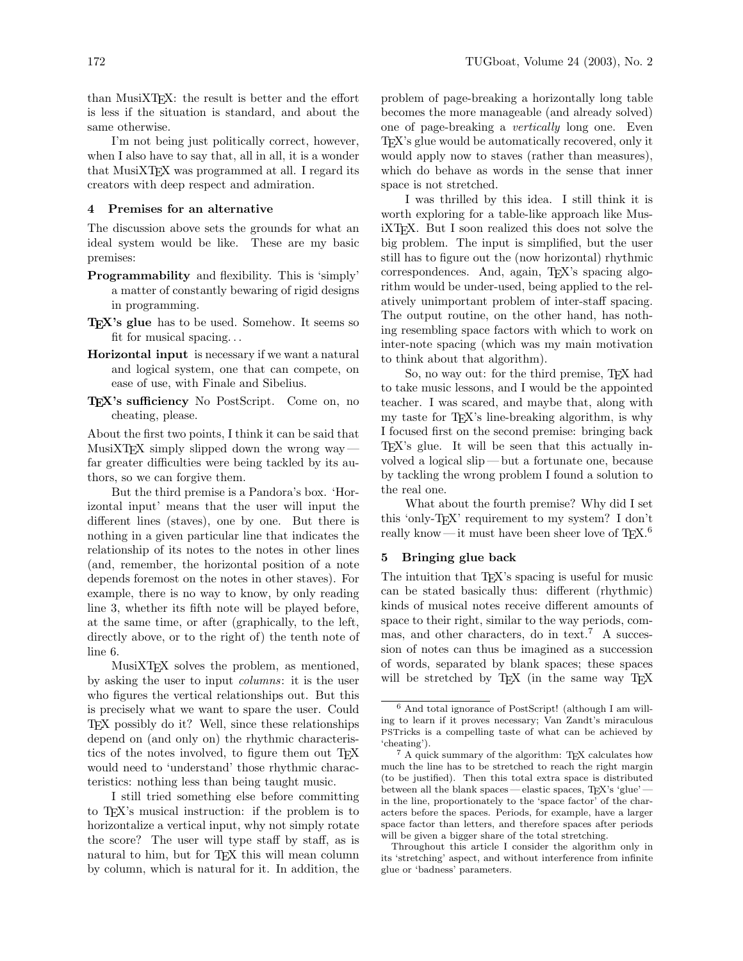than MusiXTEX: the result is better and the effort is less if the situation is standard, and about the same otherwise.

I'm not being just politically correct, however, when I also have to say that, all in all, it is a wonder that MusiXTEX was programmed at all. I regard its creators with deep respect and admiration.

## 4 Premises for an alternative

The discussion above sets the grounds for what an ideal system would be like. These are my basic premises:

- Programmability and flexibility. This is 'simply' a matter of constantly bewaring of rigid designs in programming.
- T<sub>EX</sub>'s glue has to be used. Somehow. It seems so fit for musical spacing. . .
- Horizontal input is necessary if we want a natural and logical system, one that can compete, on ease of use, with Finale and Sibelius.
- TEX's sufficiency No PostScript. Come on, no cheating, please.

About the first two points, I think it can be said that MusiXT<sub>F</sub>X simply slipped down the wrong way  $\cdot$ far greater difficulties were being tackled by its authors, so we can forgive them.

But the third premise is a Pandora's box. 'Horizontal input' means that the user will input the different lines (staves), one by one. But there is nothing in a given particular line that indicates the relationship of its notes to the notes in other lines (and, remember, the horizontal position of a note depends foremost on the notes in other staves). For example, there is no way to know, by only reading line 3, whether its fifth note will be played before, at the same time, or after (graphically, to the left, directly above, or to the right of) the tenth note of line 6.

MusiXTEX solves the problem, as mentioned, by asking the user to input columns: it is the user who figures the vertical relationships out. But this is precisely what we want to spare the user. Could TEX possibly do it? Well, since these relationships depend on (and only on) the rhythmic characteristics of the notes involved, to figure them out T<sub>E</sub>X would need to 'understand' those rhythmic characteristics: nothing less than being taught music.

I still tried something else before committing to TEX's musical instruction: if the problem is to horizontalize a vertical input, why not simply rotate the score? The user will type staff by staff, as is natural to him, but for T<sub>EX</sub> this will mean column by column, which is natural for it. In addition, the problem of page-breaking a horizontally long table becomes the more manageable (and already solved) one of page-breaking a vertically long one. Even TEX's glue would be automatically recovered, only it would apply now to staves (rather than measures), which do behave as words in the sense that inner space is not stretched.

I was thrilled by this idea. I still think it is worth exploring for a table-like approach like MusiXTEX. But I soon realized this does not solve the big problem. The input is simplified, but the user still has to figure out the (now horizontal) rhythmic correspondences. And, again, TEX's spacing algorithm would be under-used, being applied to the relatively unimportant problem of inter-staff spacing. The output routine, on the other hand, has nothing resembling space factors with which to work on inter-note spacing (which was my main motivation to think about that algorithm).

So, no way out: for the third premise, TEX had to take music lessons, and I would be the appointed teacher. I was scared, and maybe that, along with my taste for TEX's line-breaking algorithm, is why I focused first on the second premise: bringing back TEX's glue. It will be seen that this actually involved a logical slip— but a fortunate one, because by tackling the wrong problem I found a solution to the real one.

What about the fourth premise? Why did I set this 'only-TEX' requirement to my system? I don't really know — it must have been sheer love of  $T_{F}X$ .<sup>6</sup>

## 5 Bringing glue back

The intuition that T<sub>EX</sub>'s spacing is useful for music can be stated basically thus: different (rhythmic) kinds of musical notes receive different amounts of space to their right, similar to the way periods, commas, and other characters, do in text.<sup>7</sup> A succession of notes can thus be imagined as a succession of words, separated by blank spaces; these spaces will be stretched by T<sub>E</sub>X (in the same way T<sub>E</sub>X

Throughout this article I consider the algorithm only in its 'stretching' aspect, and without interference from infinite glue or 'badness' parameters.

<sup>6</sup> And total ignorance of PostScript! (although I am willing to learn if it proves necessary; Van Zandt's miraculous PSTricks is a compelling taste of what can be achieved by 'cheating').

<sup>7</sup> A quick summary of the algorithm: TEX calculates how much the line has to be stretched to reach the right margin (to be justified). Then this total extra space is distributed between all the blank spaces—elastic spaces, T<sub>EX</sub>'s 'glue' in the line, proportionately to the 'space factor' of the characters before the spaces. Periods, for example, have a larger space factor than letters, and therefore spaces after periods will be given a bigger share of the total stretching.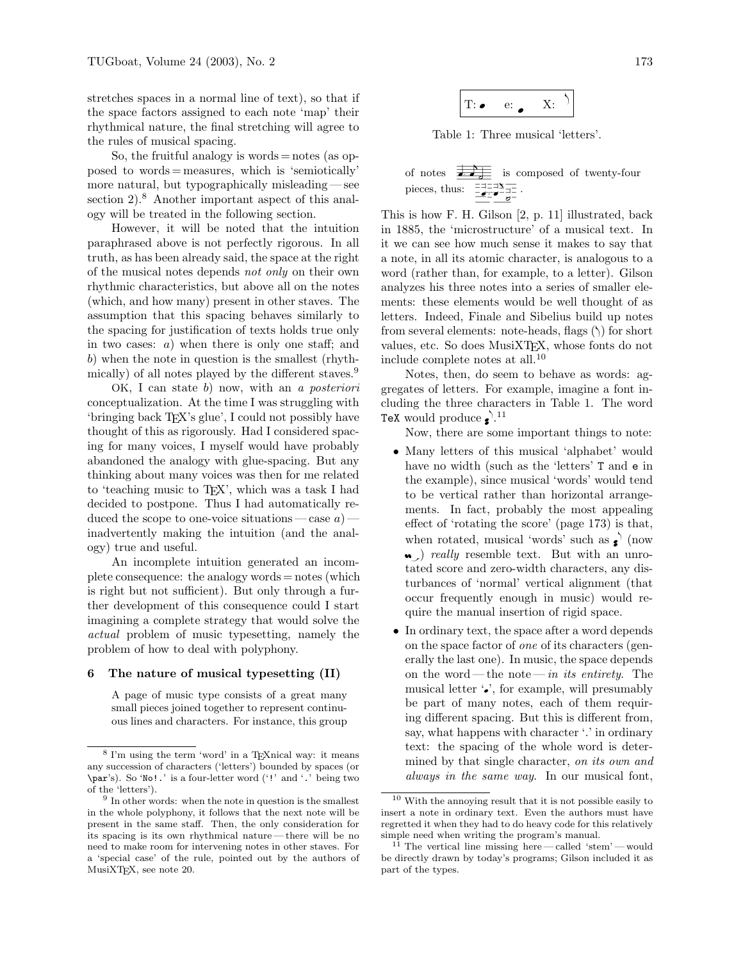stretches spaces in a normal line of text), so that if the space factors assigned to each note 'map' their rhythmical nature, the final stretching will agree to the rules of musical spacing.

So, the fruitful analogy is words  $=$  notes (as opposed to words = measures, which is 'semiotically' more natural, but typographically misleading— see section 2).<sup>8</sup> Another important aspect of this analogy will be treated in the following section.

However, it will be noted that the intuition paraphrased above is not perfectly rigorous. In all truth, as has been already said, the space at the right of the musical notes depends not only on their own rhythmic characteristics, but above all on the notes (which, and how many) present in other staves. The assumption that this spacing behaves similarly to the spacing for justification of texts holds true only in two cases:  $a)$  when there is only one staff; and b) when the note in question is the smallest (rhythmically) of all notes played by the different staves.<sup>9</sup>

OK, I can state b) now, with an a posteriori conceptualization. At the time I was struggling with 'bringing back TEX's glue', I could not possibly have thought of this as rigorously. Had I considered spacing for many voices, I myself would have probably abandoned the analogy with glue-spacing. But any thinking about many voices was then for me related to 'teaching music to TEX', which was a task I had decided to postpone. Thus I had automatically reduced the scope to one-voice situations — case  $a$ ) inadvertently making the intuition (and the analogy) true and useful.

An incomplete intuition generated an incomplete consequence: the analogy words = notes (which is right but not sufficient). But only through a further development of this consequence could I start imagining a complete strategy that would solve the actual problem of music typesetting, namely the problem of how to deal with polyphony.

## 6 The nature of musical typesetting (II)

A page of music type consists of a great many small pieces joined together to represent continuous lines and characters. For instance, this group



Table 1: Three musical 'letters'.

of notes 
$$
\frac{\frac{1}{\sqrt{1-\frac{1}{n}}}}{\frac{1}{\sqrt{1-\frac{1}{n}}}}}
$$
 is composed of twenty-four pieces, thus:  $\frac{\frac{1}{\sqrt{1-\frac{1}{n}}}}{\frac{1}{\sqrt{1-\frac{1}{n}}}}$ .

This is how F. H. Gilson [2, p. 11] illustrated, back in 1885, the 'microstructure' of a musical text. In it we can see how much sense it makes to say that a note, in all its atomic character, is analogous to a word (rather than, for example, to a letter). Gilson analyzes his three notes into a series of smaller elements: these elements would be well thought of as letters. Indeed, Finale and Sibelius build up notes from several elements: note-heads, flags  $(\zeta)$  for short values, etc. So does MusiXTEX, whose fonts do not include complete notes at all.<sup>10</sup>

Notes, then, do seem to behave as words: aggregates of letters. For example, imagine a font including the three characters in Table 1. The word TeX would produce  $\bullet$ .<sup>11</sup>

Now, there are some important things to note:

- Many letters of this musical 'alphabet' would have no width (such as the 'letters' T and e in the example), since musical 'words' would tend to be vertical rather than horizontal arrangements. In fact, probably the most appealing effect of 'rotating the score' (page 173) is that, when rotated, musical 'words' such as  $\bullet$  (now • *really* resemble text. But with an unrotated score and zero-width characters, any disturbances of 'normal' vertical alignment (that occur frequently enough in music) would require the manual insertion of rigid space.
- In ordinary text, the space after a word depends on the space factor of one of its characters (generally the last one). In music, the space depends on the word—the note—in its entirety. The musical letter  $\ddot{\bullet}$ , for example, will presumably be part of many notes, each of them requiring different spacing. But this is different from, say, what happens with character '.' in ordinary text: the spacing of the whole word is determined by that single character, on its own and always in the same way. In our musical font,

 $^8$  I'm using the term 'word' in a TEXnical way: it means any succession of characters ('letters') bounded by spaces (or \par's). So 'No!.' is a four-letter word ('!' and '.' being two of the 'letters').

<sup>9</sup> In other words: when the note in question is the smallest in the whole polyphony, it follows that the next note will be present in the same staff. Then, the only consideration for its spacing is its own rhythmical nature— there will be no need to make room for intervening notes in other staves. For a 'special case' of the rule, pointed out by the authors of MusiXTEX, see note 20.

 $^{10}$  With the annoying result that it is not possible easily to insert a note in ordinary text. Even the authors must have regretted it when they had to do heavy code for this relatively simple need when writing the program's manual.

The vertical line missing here — called 'stem' — would be directly drawn by today's programs; Gilson included it as part of the types.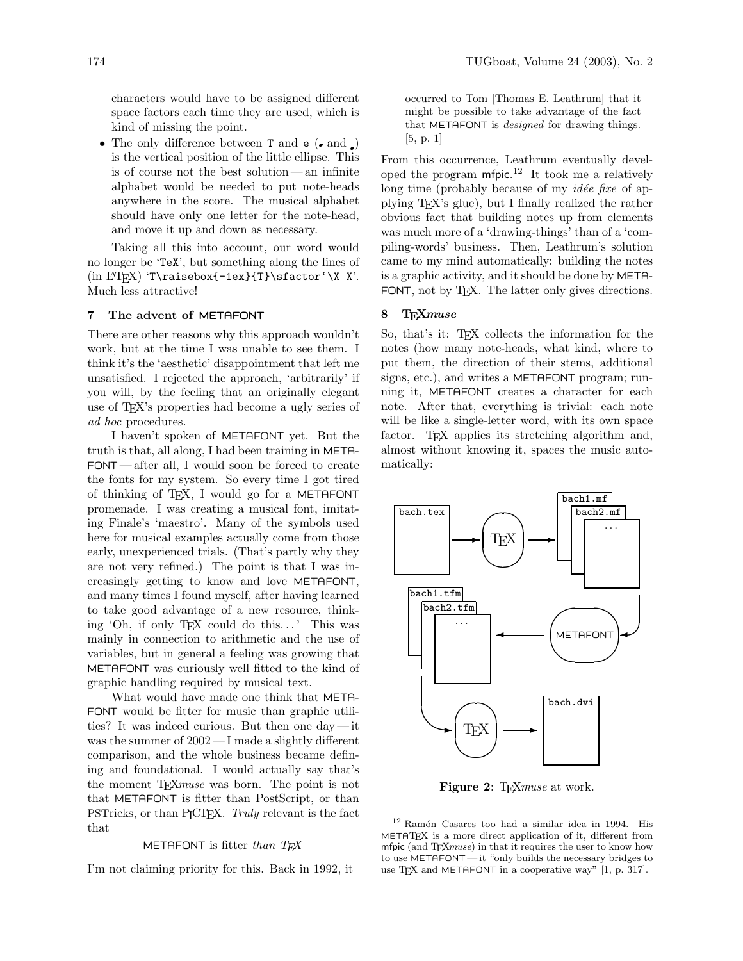characters would have to be assigned different space factors each time they are used, which is kind of missing the point.

• The only difference between  $T$  and  $e$  ( $\bullet$  and  $\Box$ ) is the vertical position of the little ellipse. This is of course not the best solution— an infinite alphabet would be needed to put note-heads anywhere in the score. The musical alphabet should have only one letter for the note-head, and move it up and down as necessary.

Taking all this into account, our word would no longer be 'TeX', but something along the lines of (in  $\[\Delta\]$ 'T\raisebox{-1ex}{T}\sfactor'\X X'. Much less attractive!

### 7 The advent of METAFONT

There are other reasons why this approach wouldn't work, but at the time I was unable to see them. I think it's the 'aesthetic' disappointment that left me unsatisfied. I rejected the approach, 'arbitrarily' if you will, by the feeling that an originally elegant use of TEX's properties had become a ugly series of ad hoc procedures.

I haven't spoken of METAFONT yet. But the truth is that, all along, I had been training in META-FONT — after all, I would soon be forced to create the fonts for my system. So every time I got tired of thinking of TEX, I would go for a METAFONT promenade. I was creating a musical font, imitating Finale's 'maestro'. Many of the symbols used here for musical examples actually come from those early, unexperienced trials. (That's partly why they are not very refined.) The point is that I was increasingly getting to know and love METAFONT, and many times I found myself, after having learned to take good advantage of a new resource, thinking 'Oh, if only T<sub>F</sub>X could do this...' This was mainly in connection to arithmetic and the use of variables, but in general a feeling was growing that METAFONT was curiously well fitted to the kind of graphic handling required by musical text.

What would have made one think that META-FONT would be fitter for music than graphic utilities? It was indeed curious. But then one day— it was the summer of 2002— I made a slightly different comparison, and the whole business became defining and foundational. I would actually say that's the moment T<sub>F</sub>X*muse* was born. The point is not that METAFONT is fitter than PostScript, or than PSTricks, or than PJCTEX. Truly relevant is the fact that

#### METAFONT is fitter than  $T_F X$

I'm not claiming priority for this. Back in 1992, it

occurred to Tom [Thomas E. Leathrum] that it might be possible to take advantage of the fact that METAFONT is designed for drawing things. [5, p. 1]

From this occurrence, Leathrum eventually developed the program mfpic. <sup>12</sup> It took me a relatively long time (probably because of my *idée fixe* of applying TEX's glue), but I finally realized the rather obvious fact that building notes up from elements was much more of a 'drawing-things' than of a 'compiling-words' business. Then, Leathrum's solution came to my mind automatically: building the notes is a graphic activity, and it should be done by META-FONT, not by T<sub>F</sub>X. The latter only gives directions.

## 8 TEXmuse

So, that's it: TEX collects the information for the notes (how many note-heads, what kind, where to put them, the direction of their stems, additional signs, etc.), and writes a METAFONT program; running it, METAFONT creates a character for each note. After that, everything is trivial: each note will be like a single-letter word, with its own space factor. T<sub>EX</sub> applies its stretching algorithm and, almost without knowing it, spaces the music automatically:



Figure 2: T<sub>E</sub>Xmuse at work.

 $12$  Ramón Casares too had a similar idea in 1994. His METATEX is a more direct application of it, different from mfpic (and TEXmuse) in that it requires the user to know how to use METAFONT — it "only builds the necessary bridges to use T<sub>F</sub>X and METAFONT in a cooperative way"  $[1, p. 317]$ .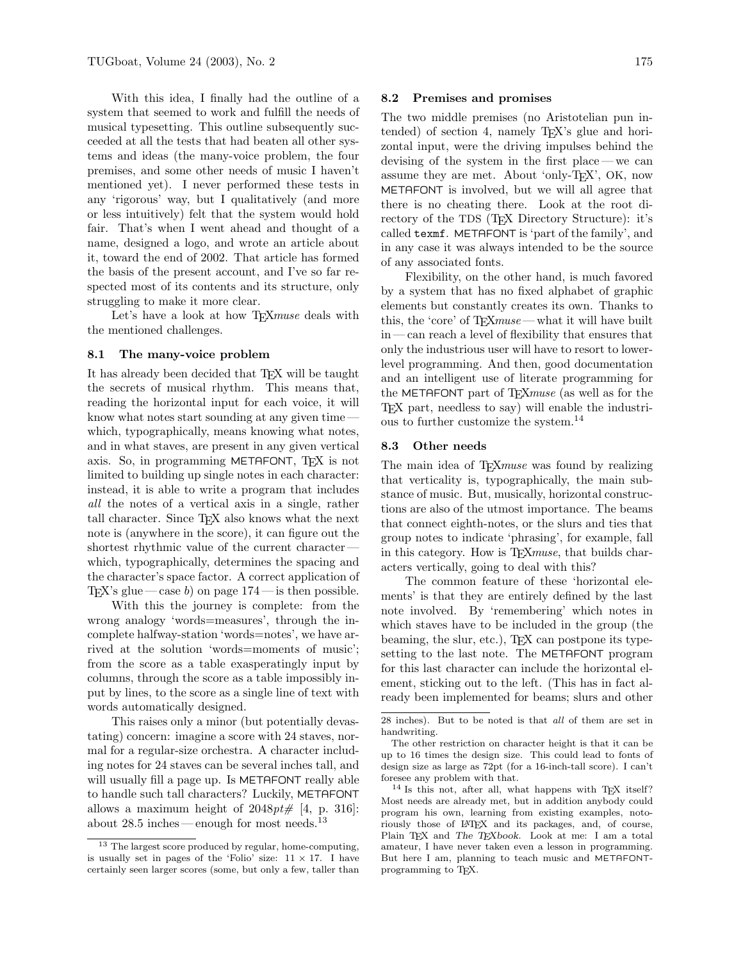With this idea, I finally had the outline of a system that seemed to work and fulfill the needs of musical typesetting. This outline subsequently succeeded at all the tests that had beaten all other systems and ideas (the many-voice problem, the four premises, and some other needs of music I haven't mentioned yet). I never performed these tests in any 'rigorous' way, but I qualitatively (and more or less intuitively) felt that the system would hold fair. That's when I went ahead and thought of a name, designed a logo, and wrote an article about it, toward the end of 2002. That article has formed the basis of the present account, and I've so far respected most of its contents and its structure, only struggling to make it more clear.

Let's have a look at how T<sub>E</sub>X*muse* deals with the mentioned challenges.

### 8.1 The many-voice problem

It has already been decided that TEX will be taught the secrets of musical rhythm. This means that, reading the horizontal input for each voice, it will know what notes start sounding at any given time which, typographically, means knowing what notes, and in what staves, are present in any given vertical axis. So, in programming METAFONT, TEX is not limited to building up single notes in each character: instead, it is able to write a program that includes all the notes of a vertical axis in a single, rather tall character. Since TEX also knows what the next note is (anywhere in the score), it can figure out the shortest rhythmic value of the current character which, typographically, determines the spacing and the character's space factor. A correct application of T<sub>EX</sub>'s glue — case b) on page  $174$  — is then possible.

With this the journey is complete: from the wrong analogy 'words=measures', through the incomplete halfway-station 'words=notes', we have arrived at the solution 'words=moments of music'; from the score as a table exasperatingly input by columns, through the score as a table impossibly input by lines, to the score as a single line of text with words automatically designed.

This raises only a minor (but potentially devastating) concern: imagine a score with 24 staves, normal for a regular-size orchestra. A character including notes for 24 staves can be several inches tall, and will usually fill a page up. Is METAFONT really able to handle such tall characters? Luckily, METAFONT allows a maximum height of  $2048pt\#$  [4, p. 316]: about 28.5 inches—enough for most needs. $^\mathrm{13}$ 

## 8.2 Premises and promises

The two middle premises (no Aristotelian pun intended) of section 4, namely T<sub>E</sub>X's glue and horizontal input, were the driving impulses behind the devising of the system in the first place — we can assume they are met. About 'only-TEX', OK, now METAFONT is involved, but we will all agree that there is no cheating there. Look at the root directory of the TDS (TEX Directory Structure): it's called texmf. METAFONT is 'part of the family', and in any case it was always intended to be the source of any associated fonts.

Flexibility, on the other hand, is much favored by a system that has no fixed alphabet of graphic elements but constantly creates its own. Thanks to this, the 'core' of  $T_{F}Xmuse$  — what it will have built in— can reach a level of flexibility that ensures that only the industrious user will have to resort to lowerlevel programming. And then, good documentation and an intelligent use of literate programming for the METAFONT part of T<sub>E</sub>Xmuse (as well as for the TEX part, needless to say) will enable the industrious to further customize the system.<sup>14</sup>

# 8.3 Other needs

The main idea of TEX*muse* was found by realizing that verticality is, typographically, the main substance of music. But, musically, horizontal constructions are also of the utmost importance. The beams that connect eighth-notes, or the slurs and ties that group notes to indicate 'phrasing', for example, fall in this category. How is T<sub>E</sub>Xmuse, that builds characters vertically, going to deal with this?

The common feature of these 'horizontal elements' is that they are entirely defined by the last note involved. By 'remembering' which notes in which staves have to be included in the group (the beaming, the slur, etc.), T<sub>E</sub>X can postpone its typesetting to the last note. The METAFONT program for this last character can include the horizontal element, sticking out to the left. (This has in fact already been implemented for beams; slurs and other

<sup>13</sup> The largest score produced by regular, home-computing, is usually set in pages of the 'Folio' size:  $11 \times 17$ . I have certainly seen larger scores (some, but only a few, taller than

<sup>28</sup> inches). But to be noted is that all of them are set in handwriting.

The other restriction on character height is that it can be up to 16 times the design size. This could lead to fonts of design size as large as 72pt (for a 16-inch-tall score). I can't foresee any problem with that.

<sup>&</sup>lt;sup>14</sup> Is this not, after all, what happens with TEX itself? Most needs are already met, but in addition anybody could program his own, learning from existing examples, notoriously those of LATEX and its packages, and, of course, Plain TEX and The TEXbook. Look at me: I am a total amateur, I have never taken even a lesson in programming. But here I am, planning to teach music and METAFONTprogramming to T<sub>F</sub>X.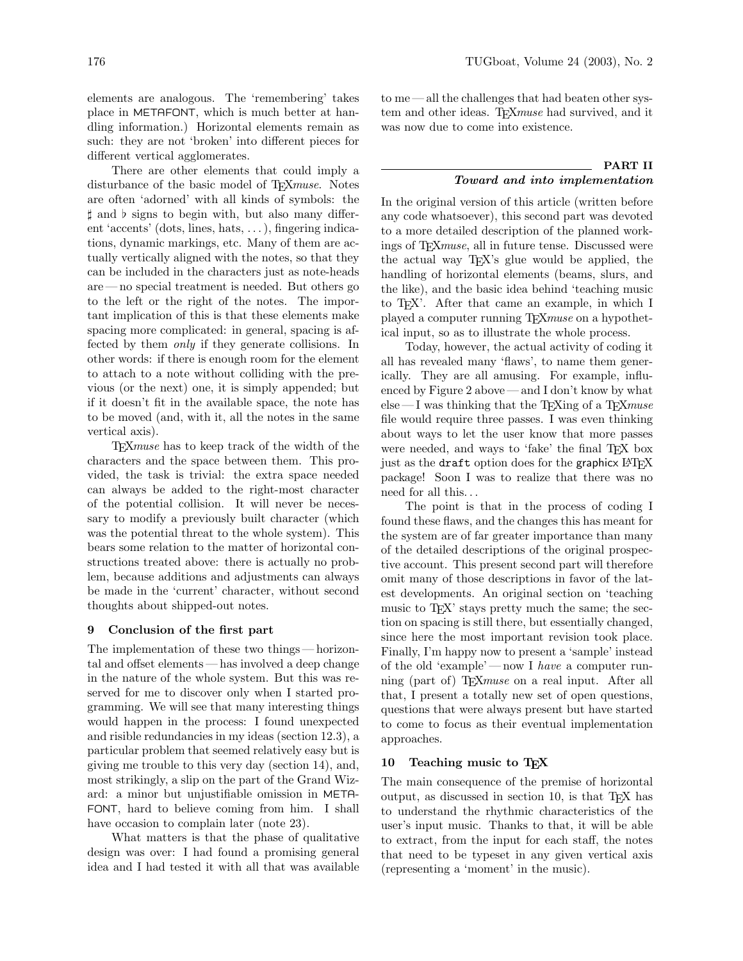elements are analogous. The 'remembering' takes place in METAFONT, which is much better at handling information.) Horizontal elements remain as such: they are not 'broken' into different pieces for different vertical agglomerates.

There are other elements that could imply a disturbance of the basic model of T<sub>E</sub>Xmuse. Notes are often 'adorned' with all kinds of symbols: the  $\sharp$  and  $\flat$  signs to begin with, but also many different 'accents' (dots, lines, hats, . . . ), fingering indications, dynamic markings, etc. Many of them are actually vertically aligned with the notes, so that they can be included in the characters just as note-heads are — no special treatment is needed. But others go to the left or the right of the notes. The important implication of this is that these elements make spacing more complicated: in general, spacing is affected by them *only* if they generate collisions. In other words: if there is enough room for the element to attach to a note without colliding with the previous (or the next) one, it is simply appended; but if it doesn't fit in the available space, the note has to be moved (and, with it, all the notes in the same vertical axis).

TEXmuse has to keep track of the width of the characters and the space between them. This provided, the task is trivial: the extra space needed can always be added to the right-most character of the potential collision. It will never be necessary to modify a previously built character (which was the potential threat to the whole system). This bears some relation to the matter of horizontal constructions treated above: there is actually no problem, because additions and adjustments can always be made in the 'current' character, without second thoughts about shipped-out notes.

### 9 Conclusion of the first part

The implementation of these two things — horizontal and offset elements — has involved a deep change in the nature of the whole system. But this was reserved for me to discover only when I started programming. We will see that many interesting things would happen in the process: I found unexpected and risible redundancies in my ideas (section 12.3), a particular problem that seemed relatively easy but is giving me trouble to this very day (section 14), and, most strikingly, a slip on the part of the Grand Wizard: a minor but unjustifiable omission in META-FONT, hard to believe coming from him. I shall have occasion to complain later (note 23).

What matters is that the phase of qualitative design was over: I had found a promising general idea and I had tested it with all that was available to me — all the challenges that had beaten other system and other ideas. TFXmuse had survived, and it was now due to come into existence.

# PART II Toward and into implementation

In the original version of this article (written before any code whatsoever), this second part was devoted to a more detailed description of the planned workings of T<sub>E</sub>X<sub>muse</sub>, all in future tense. Discussed were the actual way TEX's glue would be applied, the handling of horizontal elements (beams, slurs, and the like), and the basic idea behind 'teaching music to TEX'. After that came an example, in which I played a computer running T<sub>E</sub>Xmuse on a hypothetical input, so as to illustrate the whole process.

Today, however, the actual activity of coding it all has revealed many 'flaws', to name them generically. They are all amusing. For example, influenced by Figure 2 above — and I don't know by what else — I was thinking that the T<sub>E</sub>Xing of a T<sub>E</sub>X*muse* file would require three passes. I was even thinking about ways to let the user know that more passes were needed, and ways to 'fake' the final T<sub>EX</sub> box just as the draft option does for the graphicx LAT<sub>E</sub>X package! Soon I was to realize that there was no need for all this. . .

The point is that in the process of coding I found these flaws, and the changes this has meant for the system are of far greater importance than many of the detailed descriptions of the original prospective account. This present second part will therefore omit many of those descriptions in favor of the latest developments. An original section on 'teaching music to  $T_{F}X'$  stays pretty much the same; the section on spacing is still there, but essentially changed, since here the most important revision took place. Finally, I'm happy now to present a 'sample' instead of the old 'example' — now I have a computer running (part of) T<sub>E</sub>X*muse* on a real input. After all that, I present a totally new set of open questions, questions that were always present but have started to come to focus as their eventual implementation approaches.

# 10 Teaching music to TEX

The main consequence of the premise of horizontal output, as discussed in section 10, is that TEX has to understand the rhythmic characteristics of the user's input music. Thanks to that, it will be able to extract, from the input for each staff, the notes that need to be typeset in any given vertical axis (representing a 'moment' in the music).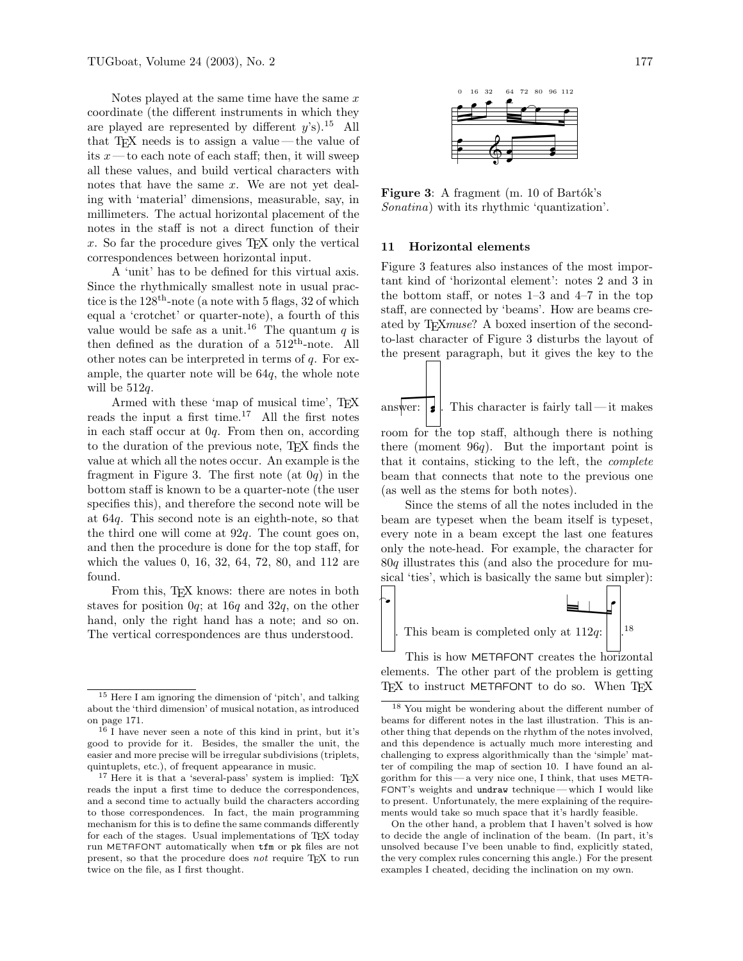Notes played at the same time have the same  $x$ coordinate (the different instruments in which they are played are represented by different  $y$ 's).<sup>15</sup> All that TEX needs is to assign a value — the value of its  $x$ —to each note of each staff; then, it will sweep all these values, and build vertical characters with notes that have the same  $x$ . We are not yet dealing with 'material' dimensions, measurable, say, in millimeters. The actual horizontal placement of the notes in the staff is not a direct function of their x. So far the procedure gives  $T\not\in X$  only the vertical correspondences between horizontal input.

A 'unit' has to be defined for this virtual axis. Since the rhythmically smallest note in usual practice is the  $128<sup>th</sup>$ -note (a note with 5 flags, 32 of which equal a 'crotchet' or quarter-note), a fourth of this value would be safe as a unit.<sup>16</sup> The quantum q is then defined as the duration of a  $512^{\text{th}}$ -note. All other notes can be interpreted in terms of  $q$ . For example, the quarter note will be 64q, the whole note will be  $512q$ .

Armed with these 'map of musical time', T<sub>E</sub>X reads the input a first time.<sup>17</sup> All the first notes in each staff occur at 0q. From then on, according to the duration of the previous note, TEX finds the value at which all the notes occur. An example is the fragment in Figure 3. The first note (at  $0q$ ) in the bottom staff is known to be a quarter-note (the user specifies this), and therefore the second note will be at 64q. This second note is an eighth-note, so that the third one will come at  $92q$ . The count goes on, and then the procedure is done for the top staff, for which the values 0, 16, 32, 64, 72, 80, and 112 are found.

From this, T<sub>E</sub>X knows: there are notes in both staves for position  $0q$ ; at  $16q$  and  $32q$ , on the other hand, only the right hand has a note; and so on. The vertical correspondences are thus understood.



Figure 3: A fragment  $(m. 10$  of Bartók's Sonatina) with its rhythmic 'quantization'.

# 11 Horizontal elements

Figure 3 features also instances of the most important kind of 'horizontal element': notes 2 and 3 in the bottom staff, or notes 1–3 and 4–7 in the top staff, are connected by 'beams'. How are beams created by TEXmuse? A boxed insertion of the secondto-last character of Figure 3 disturbs the layout of the present paragraph, but it gives the key to the

answer:  $|\boldsymbol{\cdot}\rangle$ . This character is fairly tall — it makes room for the top staff, although there is nothing

there (moment  $96q$ ). But the important point is that it contains, sticking to the left, the complete beam that connects that note to the previous one (as well as the stems for both notes).

Since the stems of all the notes included in the beam are typeset when the beam itself is typeset, every note in a beam except the last one features only the note-head. For example, the character for 80q illustrates this (and also the procedure for musical 'ties', which is basically the same but simpler):



elements. The other part of the problem is getting TFX to instruct METAFONT to do so. When TFX

On the other hand, a problem that I haven't solved is how to decide the angle of inclination of the beam. (In part, it's unsolved because I've been unable to find, explicitly stated, the very complex rules concerning this angle.) For the present examples I cheated, deciding the inclination on my own.

<sup>15</sup> Here I am ignoring the dimension of 'pitch', and talking about the 'third dimension' of musical notation, as introduced on page 171.

 $^{16}$  I have never seen a note of this kind in print, but it's good to provide for it. Besides, the smaller the unit, the easier and more precise will be irregular subdivisions (triplets, quintuplets, etc.), of frequent appearance in music.

 $17$  Here it is that a 'several-pass' system is implied: TFX reads the input a first time to deduce the correspondences, and a second time to actually build the characters according to those correspondences. In fact, the main programming mechanism for this is to define the same commands differently for each of the stages. Usual implementations of TEX today run METAFONT automatically when tfm or pk files are not present, so that the procedure does not require TEX to run twice on the file, as I first thought.

<sup>18</sup> You might be wondering about the different number of beams for different notes in the last illustration. This is another thing that depends on the rhythm of the notes involved, and this dependence is actually much more interesting and challenging to express algorithmically than the 'simple' matter of compiling the map of section 10. I have found an algorithm for this— a very nice one, I think, that uses META-FONT's weights and undraw technique— which I would like to present. Unfortunately, the mere explaining of the requirements would take so much space that it's hardly feasible.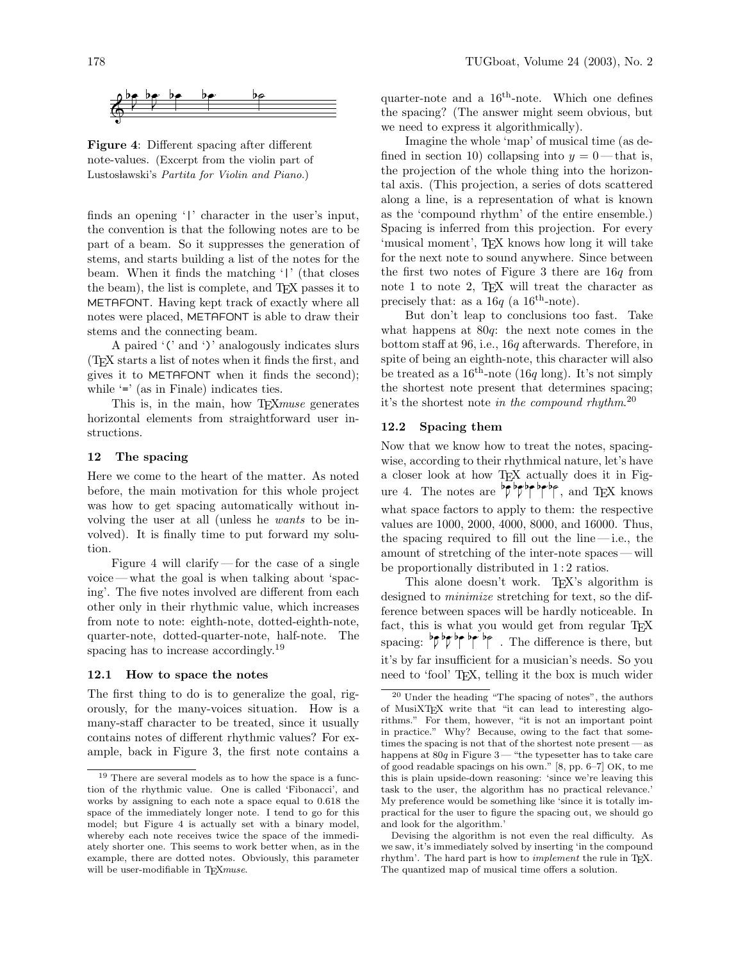

Figure 4: Different spacing after different note-values. (Excerpt from the violin part of Lustosławski's Partita for Violin and Piano.)

finds an opening '|' character in the user's input, the convention is that the following notes are to be part of a beam. So it suppresses the generation of stems, and starts building a list of the notes for the beam. When it finds the matching '|' (that closes the beam), the list is complete, and TEX passes it to METAFONT. Having kept track of exactly where all notes were placed, METAFONT is able to draw their stems and the connecting beam.

A paired '(' and ')' analogously indicates slurs (TEX starts a list of notes when it finds the first, and gives it to METAFONT when it finds the second); while  $\equiv$  (as in Finale) indicates ties.

This is, in the main, how T<sub>E</sub>X*muse* generates horizontal elements from straightforward user instructions.

### 12 The spacing

Here we come to the heart of the matter. As noted before, the main motivation for this whole project was how to get spacing automatically without involving the user at all (unless he wants to be involved). It is finally time to put forward my solution.

Figure 4 will clarify — for the case of a single voice — what the goal is when talking about 'spacing'. The five notes involved are different from each other only in their rhythmic value, which increases from note to note: eighth-note, dotted-eighth-note, quarter-note, dotted-quarter-note, half-note. The spacing has to increase accordingly.<sup>19</sup>

#### 12.1 How to space the notes

The first thing to do is to generalize the goal, rigorously, for the many-voices situation. How is a many-staff character to be treated, since it usually contains notes of different rhythmic values? For example, back in Figure 3, the first note contains a

quarter-note and a  $16^{\text{th}}$ -note. Which one defines the spacing? (The answer might seem obvious, but we need to express it algorithmically).

Imagine the whole 'map' of musical time (as defined in section 10) collapsing into  $y = 0$ —that is, the projection of the whole thing into the horizontal axis. (This projection, a series of dots scattered along a line, is a representation of what is known as the 'compound rhythm' of the entire ensemble.) Spacing is inferred from this projection. For every 'musical moment', TEX knows how long it will take for the next note to sound anywhere. Since between the first two notes of Figure 3 there are  $16q$  from note  $1$  to note  $2$ , T<sub>E</sub>X will treat the character as precisely that: as a  $16q$  (a  $16^{th}$ -note).

But don't leap to conclusions too fast. Take what happens at  $80q$ : the next note comes in the bottom staff at 96, i.e., 16q afterwards. Therefore, in spite of being an eighth-note, this character will also be treated as a  $16^{th}$ -note (16q long). It's not simply the shortest note present that determines spacing; it's the shortest note in the compound rhythm.<sup>20</sup>

# 12.2 Spacing them

Now that we know how to treat the notes, spacingwise, according to their rhythmical nature, let's have a closer look at how TEX actually does it in Figure 4. The notes are  $\overline{p}$  be be being, and TEX knows what space factors to apply to them: the respective values are 1000, 2000, 4000, 8000, and 16000. Thus, the spacing required to fill out the line  $-i.e.,$  the amount of stretching of the inter-note spaces — will be proportionally distributed in 1:2 ratios.

This alone doesn't work. T<sub>EX</sub>'s algorithm is designed to *minimize* stretching for text, so the difference between spaces will be hardly noticeable. In fact, this is what you would get from regular T<sub>EX</sub> spacing:  $\frac{b^2 b^2}{2}$  is  $\frac{b^2 b^2}{2}$  . The difference is there, but it's by far insufficient for a musician's needs. So you need to 'fool' TEX, telling it the box is much wider

<sup>19</sup> There are several models as to how the space is a function of the rhythmic value. One is called 'Fibonacci', and works by assigning to each note a space equal to 0.618 the space of the immediately longer note. I tend to go for this model; but Figure 4 is actually set with a binary model, whereby each note receives twice the space of the immediately shorter one. This seems to work better when, as in the example, there are dotted notes. Obviously, this parameter will be user-modifiable in TFXmuse.

<sup>20</sup> Under the heading "The spacing of notes", the authors of MusiXTEX write that "it can lead to interesting algorithms." For them, however, "it is not an important point in practice." Why? Because, owing to the fact that sometimes the spacing is not that of the shortest note present— as happens at  $80q$  in Figure 3— "the typesetter has to take care of good readable spacings on his own." [8, pp. 6–7] OK, to me this is plain upside-down reasoning: 'since we're leaving this task to the user, the algorithm has no practical relevance.' My preference would be something like 'since it is totally impractical for the user to figure the spacing out, we should go and look for the algorithm.'

Devising the algorithm is not even the real difficulty. As we saw, it's immediately solved by inserting 'in the compound rhythm'. The hard part is how to *implement* the rule in TFX. The quantized map of musical time offers a solution.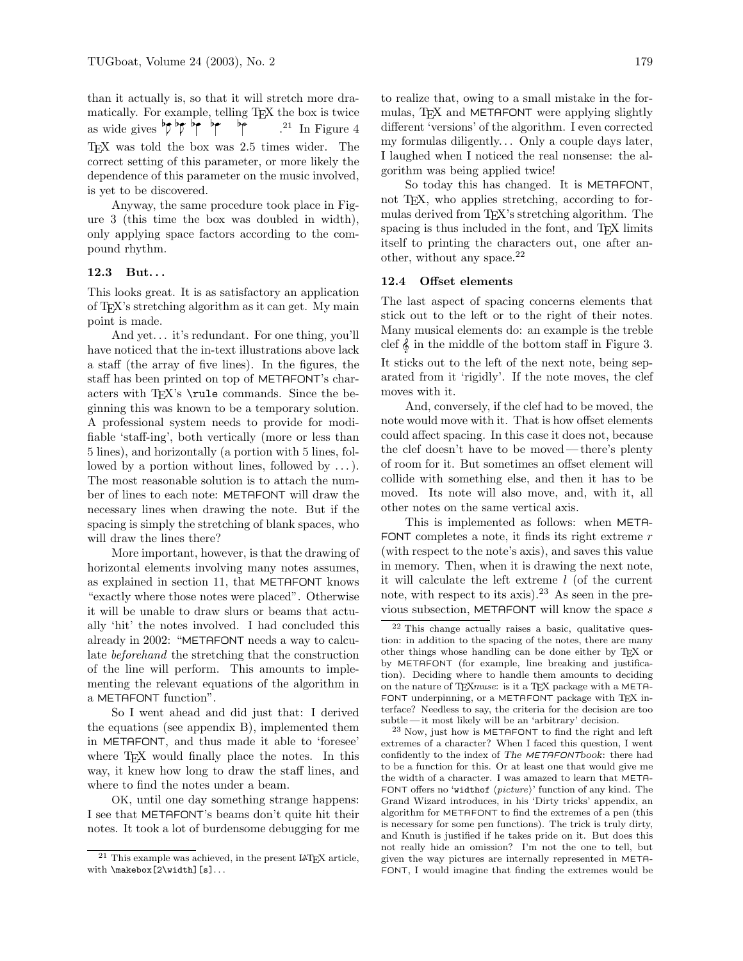than it actually is, so that it will stretch more dramatically. For example, telling TEX the box is twice as wide gives  $\not\vdash \mathsf{p} \mathsf{p}$  be . be  $^{21}$  In Figure 4 TEX was told the box was 2.5 times wider. The correct setting of this parameter, or more likely the dependence of this parameter on the music involved, is yet to be discovered.

Anyway, the same procedure took place in Figure 3 (this time the box was doubled in width), only applying space factors according to the compound rhythm.

# 12.3 But. . .

This looks great. It is as satisfactory an application of TEX's stretching algorithm as it can get. My main point is made.

And yet. . . it's redundant. For one thing, you'll have noticed that the in-text illustrations above lack a staff (the array of five lines). In the figures, the staff has been printed on top of METAFONT's characters with T<sub>EX</sub>'s \rule commands. Since the beginning this was known to be a temporary solution. A professional system needs to provide for modifiable 'staff-ing', both vertically (more or less than 5 lines), and horizontally (a portion with 5 lines, followed by a portion without lines, followed by . . . ). The most reasonable solution is to attach the number of lines to each note: METAFONT will draw the necessary lines when drawing the note. But if the spacing is simply the stretching of blank spaces, who will draw the lines there?

More important, however, is that the drawing of horizontal elements involving many notes assumes, as explained in section 11, that METAFONT knows "exactly where those notes were placed". Otherwise it will be unable to draw slurs or beams that actually 'hit' the notes involved. I had concluded this already in 2002: "METAFONT needs a way to calculate beforehand the stretching that the construction of the line will perform. This amounts to implementing the relevant equations of the algorithm in a METAFONT function".

So I went ahead and did just that: I derived the equations (see appendix B), implemented them in METAFONT, and thus made it able to 'foresee' where T<sub>F</sub>X would finally place the notes. In this way, it knew how long to draw the staff lines, and where to find the notes under a beam.

OK, until one day something strange happens: I see that METAFONT's beams don't quite hit their notes. It took a lot of burdensome debugging for me to realize that, owing to a small mistake in the formulas, TEX and METAFONT were applying slightly different 'versions' of the algorithm. I even corrected my formulas diligently... Only a couple days later, I laughed when I noticed the real nonsense: the algorithm was being applied twice!

So today this has changed. It is METAFONT, not TEX, who applies stretching, according to formulas derived from TEX's stretching algorithm. The spacing is thus included in the font, and T<sub>E</sub>X limits itself to printing the characters out, one after another, without any space. $^{22}$ 

## 12.4 Offset elements

The last aspect of spacing concerns elements that stick out to the left or to the right of their notes. Many musical elements do: an example is the treble clef  $\&$  in the middle of the bottom staff in Figure 3. It sticks out to the left of the next note, being separated from it 'rigidly'. If the note moves, the clef moves with it.

And, conversely, if the clef had to be moved, the note would move with it. That is how offset elements could affect spacing. In this case it does not, because the clef doesn't have to be moved— there's plenty of room for it. But sometimes an offset element will collide with something else, and then it has to be moved. Its note will also move, and, with it, all other notes on the same vertical axis.

This is implemented as follows: when META-FONT completes a note, it finds its right extreme  $r$ (with respect to the note's axis), and saves this value in memory. Then, when it is drawing the next note, it will calculate the left extreme  $l$  (of the current note, with respect to its axis).<sup>23</sup> As seen in the previous subsection, METAFONT will know the space  $s$ 

<sup>&</sup>lt;sup>21</sup> This example was achieved, in the present LAT<sub>E</sub>X article, with \makebox[2\width][s]...

<sup>22</sup> This change actually raises a basic, qualitative question: in addition to the spacing of the notes, there are many other things whose handling can be done either by TEX or by METAFONT (for example, line breaking and justification). Deciding where to handle them amounts to deciding on the nature of TEX muse: is it a TEX package with a META-FONT underpinning, or a METAFONT package with TEX interface? Needless to say, the criteria for the decision are too subtle— it most likely will be an 'arbitrary' decision.

<sup>23</sup> Now, just how is METAFONT to find the right and left extremes of a character? When I faced this question, I went confidently to the index of The METAFONTbook: there had to be a function for this. Or at least one that would give me the width of a character. I was amazed to learn that META-FONT offers no 'widthof  $\langle picture \rangle$ ' function of any kind. The Grand Wizard introduces, in his 'Dirty tricks' appendix, an algorithm for METAFONT to find the extremes of a pen (this is necessary for some pen functions). The trick is truly dirty, and Knuth is justified if he takes pride on it. But does this not really hide an omission? I'm not the one to tell, but given the way pictures are internally represented in META-FONT, I would imagine that finding the extremes would be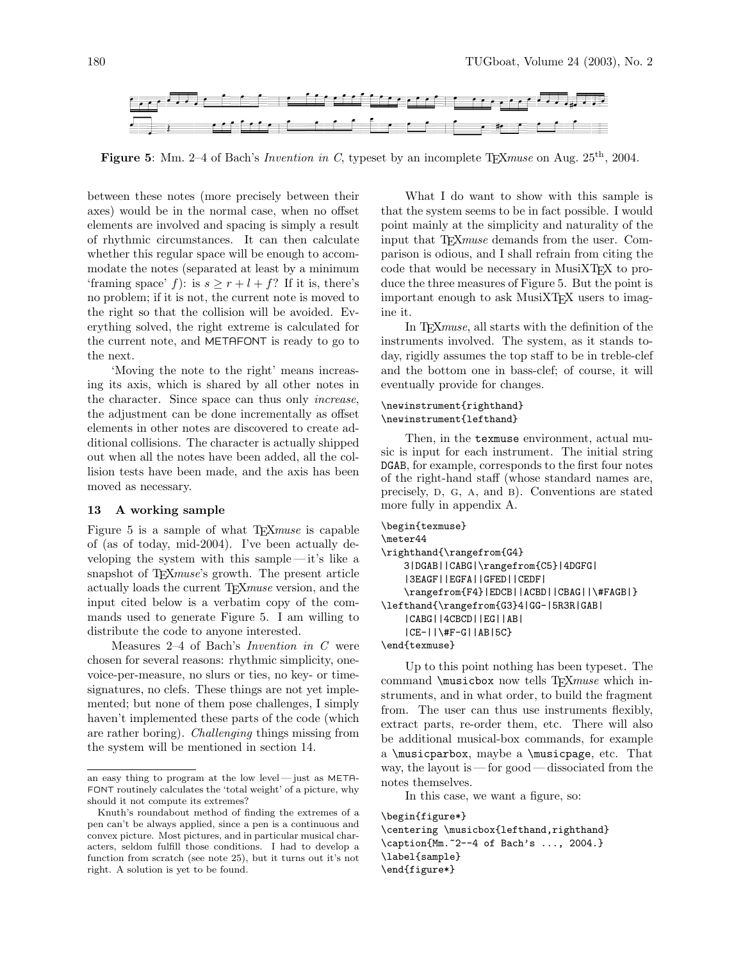

**Figure 5:** Mm. 2–4 of Bach's *Invention in C*, typeset by an incomplete T<sub>E</sub>X*muse* on Aug. 25<sup>th</sup>, 2004.

between these notes (more precisely between their axes) would be in the normal case, when no offset elements are involved and spacing is simply a result of rhythmic circumstances. It can then calculate whether this regular space will be enough to accommodate the notes (separated at least by a minimum 'framing space' f): is  $s \geq r + l + f$ ? If it is, there's no problem; if it is not, the current note is moved to the right so that the collision will be avoided. Everything solved, the right extreme is calculated for the current note, and METAFONT is ready to go to the next.

'Moving the note to the right' means increasing its axis, which is shared by all other notes in the character. Since space can thus only increase, the adjustment can be done incrementally as offset elements in other notes are discovered to create additional collisions. The character is actually shipped out when all the notes have been added, all the collision tests have been made, and the axis has been moved as necessary.

## 13 A working sample

Figure 5 is a sample of what T<sub>F</sub>X*muse* is capable of (as of today, mid-2004). I've been actually developing the system with this sample — it's like a snapshot of T<sub>F</sub>Xmuse's growth. The present article actually loads the current T<sub>E</sub>Xmuse version, and the input cited below is a verbatim copy of the commands used to generate Figure 5. I am willing to distribute the code to anyone interested.

Measures 2–4 of Bach's Invention in C were chosen for several reasons: rhythmic simplicity, onevoice-per-measure, no slurs or ties, no key- or timesignatures, no clefs. These things are not yet implemented; but none of them pose challenges, I simply haven't implemented these parts of the code (which are rather boring). Challenging things missing from the system will be mentioned in section 14.

What I do want to show with this sample is that the system seems to be in fact possible. I would point mainly at the simplicity and naturality of the input that T<sub>F</sub>X*muse* demands from the user. Comparison is odious, and I shall refrain from citing the code that would be necessary in MusiXT<sub>F</sub>X to produce the three measures of Figure 5. But the point is important enough to ask MusiXTEX users to imagine it.

In T<sub>E</sub>X<sub>muse</sub>, all starts with the definition of the instruments involved. The system, as it stands today, rigidly assumes the top staff to be in treble-clef and the bottom one in bass-clef; of course, it will eventually provide for changes.

### \newinstrument{righthand} \newinstrument{lefthand}

Then, in the texmuse environment, actual music is input for each instrument. The initial string DGAB, for example, corresponds to the first four notes of the right-hand staff (whose standard names are, precisely, D, G, A, and B). Conventions are stated more fully in appendix A.

```
\begin{texmuse}
```

```
\meter44
\righthand{\rangefrom{G4}
   3|DGAB||CABG|\rangefrom{C5}|4DGFG|
    |3EAGF||EGFA||GFED||CEDF|
   \rangefrom{F4}|EDCB||ACBD||CBAG||\#FAGB|}
\lefthand{\rangefrom{G3}4|GG-|5R3R|GAB|
    |CABG||4CBCD||EG||AB|
    |CE-||\#F-G||AB|5C}
\end{texmuse}
```
Up to this point nothing has been typeset. The command \musicbox now tells TEXmuse which instruments, and in what order, to build the fragment from. The user can thus use instruments flexibly, extract parts, re-order them, etc. There will also be additional musical-box commands, for example a \musicparbox, maybe a \musicpage, etc. That way, the layout is — for good— dissociated from the notes themselves.

In this case, we want a figure, so:

```
\begin{figure*}
\centering \musicbox{lefthand,righthand}
\caption{Mm.~2--4 of Bach's ..., 2004.}
\label{sample}
\end{figure*}
```
an easy thing to program at the low level — just as META-FONT routinely calculates the 'total weight' of a picture, why should it not compute its extremes?

Knuth's roundabout method of finding the extremes of a pen can't be always applied, since a pen is a continuous and convex picture. Most pictures, and in particular musical characters, seldom fulfill those conditions. I had to develop a function from scratch (see note 25), but it turns out it's not right. A solution is yet to be found.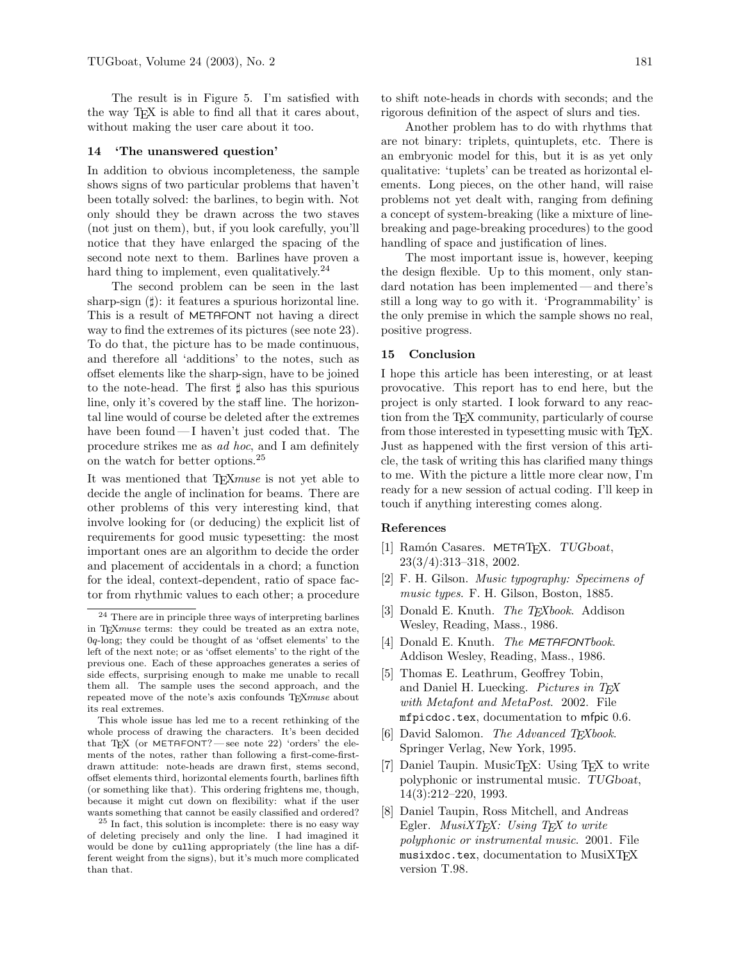The result is in Figure 5. I'm satisfied with the way TEX is able to find all that it cares about, without making the user care about it too.

#### 14 'The unanswered question'

In addition to obvious incompleteness, the sample shows signs of two particular problems that haven't been totally solved: the barlines, to begin with. Not only should they be drawn across the two staves (not just on them), but, if you look carefully, you'll notice that they have enlarged the spacing of the second note next to them. Barlines have proven a hard thing to implement, even qualitatively.<sup>24</sup>

The second problem can be seen in the last sharp-sign  $(\sharp)$ : it features a spurious horizontal line. This is a result of METAFONT not having a direct way to find the extremes of its pictures (see note 23). To do that, the picture has to be made continuous, and therefore all 'additions' to the notes, such as offset elements like the sharp-sign, have to be joined to the note-head. The first  $\sharp$  also has this spurious line, only it's covered by the staff line. The horizontal line would of course be deleted after the extremes have been found—I haven't just coded that. The procedure strikes me as ad hoc, and I am definitely on the watch for better options.<sup>25</sup>

It was mentioned that T<sub>E</sub>X*muse* is not yet able to decide the angle of inclination for beams. There are other problems of this very interesting kind, that involve looking for (or deducing) the explicit list of requirements for good music typesetting: the most important ones are an algorithm to decide the order and placement of accidentals in a chord; a function for the ideal, context-dependent, ratio of space factor from rhythmic values to each other; a procedure

to shift note-heads in chords with seconds; and the rigorous definition of the aspect of slurs and ties.

Another problem has to do with rhythms that are not binary: triplets, quintuplets, etc. There is an embryonic model for this, but it is as yet only qualitative: 'tuplets' can be treated as horizontal elements. Long pieces, on the other hand, will raise problems not yet dealt with, ranging from defining a concept of system-breaking (like a mixture of linebreaking and page-breaking procedures) to the good handling of space and justification of lines.

The most important issue is, however, keeping the design flexible. Up to this moment, only standard notation has been implemented— and there's still a long way to go with it. 'Programmability' is the only premise in which the sample shows no real, positive progress.

### 15 Conclusion

I hope this article has been interesting, or at least provocative. This report has to end here, but the project is only started. I look forward to any reaction from the TEX community, particularly of course from those interested in typesetting music with T<sub>E</sub>X. Just as happened with the first version of this article, the task of writing this has clarified many things to me. With the picture a little more clear now, I'm ready for a new session of actual coding. I'll keep in touch if anything interesting comes along.

#### References

- [1] Ramón Casares. METATFX. TUGboat, 23(3/4):313–318, 2002.
- [2] F. H. Gilson. Music typography: Specimens of music types. F. H. Gilson, Boston, 1885.
- [3] Donald E. Knuth. *The T<sub>E</sub>Xbook*. Addison Wesley, Reading, Mass., 1986.
- [4] Donald E. Knuth. The METAFONTbook. Addison Wesley, Reading, Mass., 1986.
- [5] Thomas E. Leathrum, Geoffrey Tobin, and Daniel H. Luecking. Pictures in TEX with Metafont and MetaPost. 2002. File mfpicdoc.tex, documentation to mfpic 0.6.
- [6] David Salomon. The Advanced TEXbook. Springer Verlag, New York, 1995.
- [7] Daniel Taupin. MusicT<sub>EX</sub>: Using T<sub>EX</sub> to write polyphonic or instrumental music. TUGboat, 14(3):212–220, 1993.
- [8] Daniel Taupin, Ross Mitchell, and Andreas Egler.  $MusiXTFX: Using TFX to write$ polyphonic or instrumental music. 2001. File musixdoc.tex, documentation to MusiXTFX version T.98.

<sup>24</sup> There are in principle three ways of interpreting barlines in TEXmuse terms: they could be treated as an extra note, 0q-long; they could be thought of as 'offset elements' to the left of the next note; or as 'offset elements' to the right of the previous one. Each of these approaches generates a series of side effects, surprising enough to make me unable to recall them all. The sample uses the second approach, and the repeated move of the note's axis confounds T<sub>E</sub>Xmuse about its real extremes.

This whole issue has led me to a recent rethinking of the whole process of drawing the characters. It's been decided that TEX (or METAFONT?  $-$  see note 22) 'orders' the elements of the notes, rather than following a first-come-firstdrawn attitude: note-heads are drawn first, stems second, offset elements third, horizontal elements fourth, barlines fifth (or something like that). This ordering frightens me, though, because it might cut down on flexibility: what if the user wants something that cannot be easily classified and ordered?

 $25$  In fact, this solution is incomplete: there is no easy way of deleting precisely and only the line. I had imagined it would be done by culling appropriately (the line has a different weight from the signs), but it's much more complicated than that.